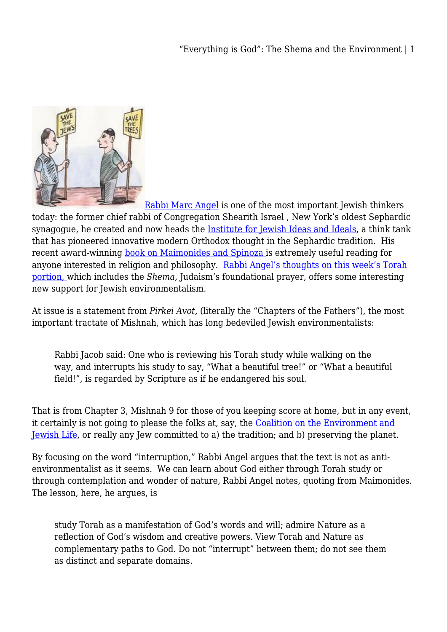"Everything is God": The Shema and the Environment | 1



[Rabbi Marc Angel](http://en.wikipedia.org/wiki/Marc_D._Angel) is one of the most important Jewish thinkers today: the former chief rabbi of Congregation Shearith Israel , New York's oldest Sephardic synagogue, he created and now heads the [Institute for Jewish Ideas and Ideals,](http://www.jewishideas.org/) a think tank that has pioneered innovative modern Orthodox thought in the Sephardic tradition. His recent award-winning [book on Maimonides and Spinoza](http://www.jewishlights.com/page/product/978-1-58023-411-5) is extremely useful reading for anyone interested in religion and philosophy. [Rabbi Angel's thoughts on this week's Torah](http://www.jewishideas.org/angel-shabbat/torah-and-nature-thoughts-parashat-va-et-hanan) [portion,](http://www.jewishideas.org/angel-shabbat/torah-and-nature-thoughts-parashat-va-et-hanan) which includes the *Shema,* Judaism's foundational prayer, offers some interesting new support for Jewish environmentalism.

At issue is a statement from *Pirkei Avot,* (literally the "Chapters of the Fathers"), the most important tractate of Mishnah, which has long bedeviled Jewish environmentalists:

Rabbi Jacob said: One who is reviewing his Torah study while walking on the way, and interrupts his study to say, "What a beautiful tree!" or "What a beautiful field!", is regarded by Scripture as if he endangered his soul.

That is from Chapter 3, Mishnah 9 for those of you keeping score at home, but in any event, it certainly is not going to please the folks at, say, the [Coalition on the Environment and](http://coejl.org/) [Jewish Life,](http://coejl.org/) or really any Jew committed to a) the tradition; and b) preserving the planet.

By focusing on the word "interruption," Rabbi Angel argues that the text is not as antienvironmentalist as it seems. We can learn about God either through Torah study or through contemplation and wonder of nature, Rabbi Angel notes, quoting from Maimonides. The lesson, here, he argues, is

study Torah as a manifestation of God's words and will; admire Nature as a reflection of God's wisdom and creative powers. View Torah and Nature as complementary paths to God. Do not "interrupt" between them; do not see them as distinct and separate domains.